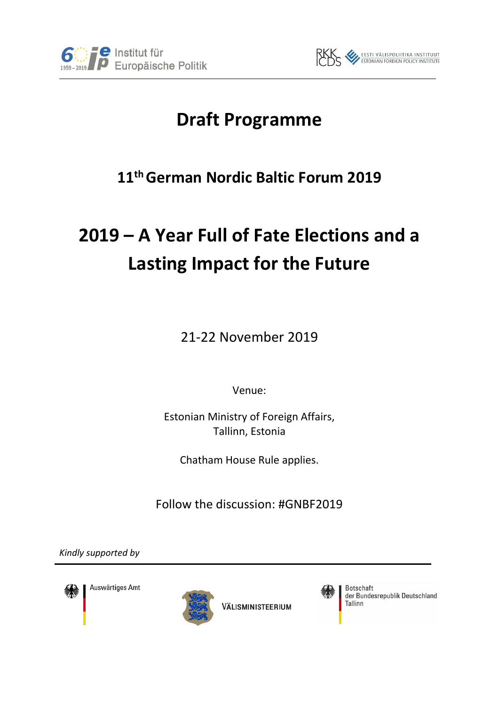



# **Draft Programme**

## **11thGerman Nordic Baltic Forum 2019**

# **2019 – A Year Full of Fate Elections and a Lasting Impact for the Future**

21-22 November 2019

Venue:

Estonian Ministry of Foreign Affairs, Tallinn, Estonia

Chatham House Rule applies.

Follow the discussion: #GNBF2019

*Kindly supported by*



Auswärtiges Amt



VÄLISMINISTEERIUM



**Botschaft** der Bundesrepublik Deutschland Tallinn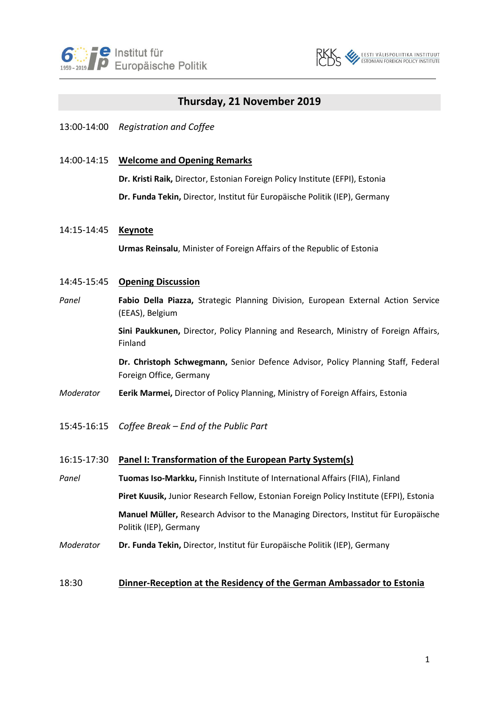



## **Thursday, 21 November 2019**

## 13:00-14:00 *Registration and Coffee*

## 14:00-14:15 **Welcome and Opening Remarks**

**Dr. Kristi Raik,** Director, Estonian Foreign Policy Institute (EFPI), Estonia

**Dr. Funda Tekin,** Director, Institut für Europäische Politik (IEP), Germany

### 14:15-14:45 **Keynote**

**Urmas Reinsalu**, Minister of Foreign Affairs of the Republic of Estonia

### 14:45-15:45 **Opening Discussion**

*Panel* **Fabio Della Piazza,** Strategic Planning Division, European External Action Service (EEAS), Belgium

> **Sini Paukkunen,** Director, Policy Planning and Research, Ministry of Foreign Affairs, Finland

> **Dr. Christoph Schwegmann,** Senior Defence Advisor, Policy Planning Staff, Federal Foreign Office, Germany

- *Moderator* **Eerik Marmei,** Director of Policy Planning, Ministry of Foreign Affairs, Estonia
- 15:45-16:15 *Coffee Break – End of the Public Part*

#### 16:15-17:30 **Panel I: Transformation of the European Party System(s)**

*Panel* **Tuomas Iso-Markku,** Finnish Institute of International Affairs (FIIA), Finland **Piret Kuusik,** Junior Research Fellow, Estonian Foreign Policy Institute (EFPI), Estonia **Manuel Müller,** Research Advisor to the Managing Directors, Institut für Europäische Politik (IEP), Germany *Moderator* **Dr. Funda Tekin,** Director, Institut für Europäische Politik (IEP), Germany

## 18:30 **Dinner-Reception at the Residency of the German Ambassador to Estonia**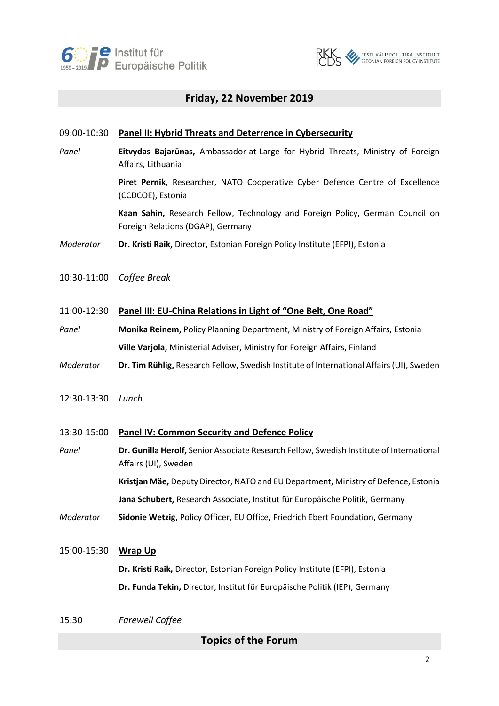



## **Friday, 22 November 2019**

## 09:00-10:30 **Panel II: Hybrid Threats and Deterrence in Cybersecurity**

*Panel* **Eitvydas Bajarūnas,** Ambassador-at-Large for Hybrid Threats, Ministry of Foreign Affairs, Lithuania

> **Piret Pernik,** Researcher, NATO Cooperative Cyber Defence Centre of Excellence (CCDCOE), Estonia

> **Kaan Sahin,** Research Fellow, Technology and Foreign Policy, German Council on Foreign Relations (DGAP), Germany

*Moderator* **Dr. Kristi Raik,** Director, Estonian Foreign Policy Institute (EFPI), Estonia

- 10:30-11:00 *Coffee Break*
- 11:00-12:30 **Panel III: EU-China Relations in Light of "One Belt, One Road"**
- *Panel* **Monika Reinem,** Policy Planning Department, Ministry of Foreign Affairs, Estonia **Ville Varjola,** Ministerial Adviser, Ministry for Foreign Affairs, Finland
- *Moderator* **Dr. Tim Rühlig,** Research Fellow, Swedish Institute of International Affairs (UI), Sweden
- 12:30-13:30 *Lunch*

#### 13:30-15:00 **Panel IV: Common Security and Defence Policy**

*Panel* **Dr. Gunilla Herolf,** Senior Associate Research Fellow, Swedish Institute of International Affairs (UI), Sweden **Kristjan Mäe,** Deputy Director, NATO and EU Department, Ministry of Defence, Estonia

**Jana Schubert,** Research Associate, Institut für Europäische Politik, Germany

*Moderator* **Sidonie Wetzig,** Policy Officer, EU Office, Friedrich Ebert Foundation, Germany

#### 15:00-15:30 **Wrap Up**

**Dr. Kristi Raik,** Director, Estonian Foreign Policy Institute (EFPI), Estonia **Dr. Funda Tekin,** Director, Institut für Europäische Politik (IEP), Germany

15:30 *Farewell Coffee*

**Topics of the Forum**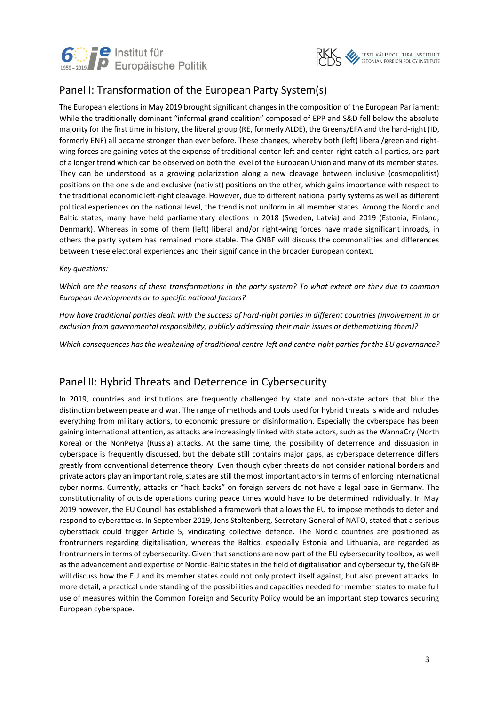



## Panel I: Transformation of the European Party System(s)

The European elections in May 2019 brought significant changes in the composition of the European Parliament: While the traditionally dominant "informal grand coalition" composed of EPP and S&D fell below the absolute majority for the first time in history, the liberal group (RE, formerly ALDE), the Greens/EFA and the hard-right (ID, formerly ENF) all became stronger than ever before. These changes, whereby both (left) liberal/green and rightwing forces are gaining votes at the expense of traditional center-left and center-right catch-all parties, are part of a longer trend which can be observed on both the level of the European Union and many of its member states. They can be understood as a growing polarization along a new cleavage between inclusive (cosmopolitist) positions on the one side and exclusive (nativist) positions on the other, which gains importance with respect to the traditional economic left-right cleavage. However, due to different national party systems as well as different political experiences on the national level, the trend is not uniform in all member states. Among the Nordic and Baltic states, many have held parliamentary elections in 2018 (Sweden, Latvia) and 2019 (Estonia, Finland, Denmark). Whereas in some of them (left) liberal and/or right-wing forces have made significant inroads, in others the party system has remained more stable. The GNBF will discuss the commonalities and differences between these electoral experiences and their significance in the broader European context.

#### *Key questions:*

*Which are the reasons of these transformations in the party system? To what extent are they due to common European developments or to specific national factors?*

*How have traditional parties dealt with the success of hard-right parties in different countries (involvement in or exclusion from governmental responsibility; publicly addressing their main issues or dethematizing them)?* 

*Which consequences has the weakening of traditional centre-left and centre-right parties for the EU governance?*

## Panel II: Hybrid Threats and Deterrence in Cybersecurity

In 2019, countries and institutions are frequently challenged by state and non-state actors that blur the distinction between peace and war. The range of methods and tools used for hybrid threats is wide and includes everything from military actions, to economic pressure or disinformation. Especially the cyberspace has been gaining international attention, as attacks are increasingly linked with state actors, such as the WannaCry (North Korea) or the NonPetya (Russia) attacks. At the same time, the possibility of deterrence and dissuasion in cyberspace is frequently discussed, but the debate still contains major gaps, as cyberspace deterrence differs greatly from conventional deterrence theory. Even though cyber threats do not consider national borders and private actors play an important role, states are still the most important actors in terms of enforcing international cyber norms. Currently, attacks or "hack backs" on foreign servers do not have a legal base in Germany. The constitutionality of outside operations during peace times would have to be determined individually. In May 2019 however, the EU Council has established a framework that allows the EU to impose methods to deter and respond to cyberattacks. In September 2019, Jens Stoltenberg, Secretary General of NATO, stated that a serious cyberattack could trigger Article 5, vindicating collective defence. The Nordic countries are positioned as frontrunners regarding digitalisation, whereas the Baltics, especially Estonia and Lithuania, are regarded as frontrunners in terms of cybersecurity. Given that sanctions are now part of the EU cybersecurity toolbox, as well as the advancement and expertise of Nordic-Baltic states in the field of digitalisation and cybersecurity, the GNBF will discuss how the EU and its member states could not only protect itself against, but also prevent attacks. In more detail, a practical understanding of the possibilities and capacities needed for member states to make full use of measures within the Common Foreign and Security Policy would be an important step towards securing European cyberspace.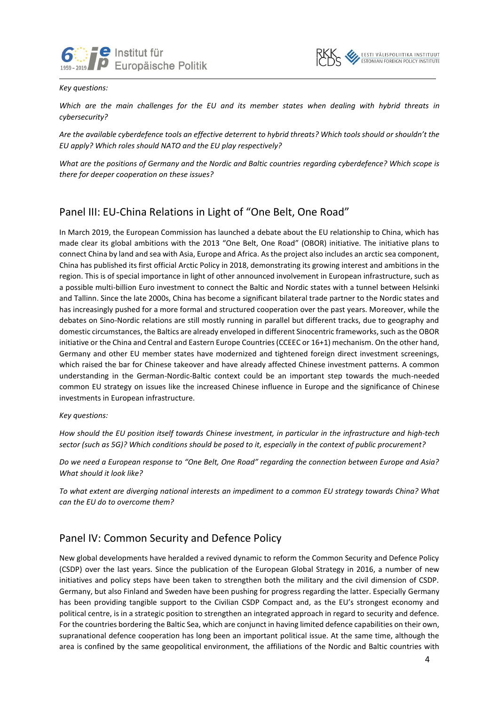



#### *Key questions:*

*Which are the main challenges for the EU and its member states when dealing with hybrid threats in cybersecurity?* 

*Are the available cyberdefence tools an effective deterrent to hybrid threats? Which tools should or shouldn't the EU apply? Which roles should NATO and the EU play respectively?*

*What are the positions of Germany and the Nordic and Baltic countries regarding cyberdefence? Which scope is there for deeper cooperation on these issues?*

## Panel III: EU-China Relations in Light of "One Belt, One Road"

In March 2019, the European Commission has launched a debate about the EU relationship to China, which has made clear its global ambitions with the 2013 "One Belt, One Road" (OBOR) initiative. The initiative plans to connect China by land and sea with Asia, Europe and Africa. As the project also includes an arctic sea component, China has published its first official Arctic Policy in 2018, demonstrating its growing interest and ambitions in the region. This is of special importance in light of other announced involvement in European infrastructure, such as a possible multi-billion Euro investment to connect the Baltic and Nordic states with a tunnel between Helsinki and Tallinn. Since the late 2000s, China has become a significant bilateral trade partner to the Nordic states and has increasingly pushed for a more formal and structured cooperation over the past years. Moreover, while the debates on Sino-Nordic relations are still mostly running in parallel but different tracks, due to geography and domestic circumstances, the Baltics are already enveloped in different Sinocentric frameworks, such as the OBOR initiative or the China and Central and Eastern Europe Countries (CCEEC or 16+1) mechanism. On the other hand, Germany and other EU member states have modernized and tightened foreign direct investment screenings, which raised the bar for Chinese takeover and have already affected Chinese investment patterns. A common understanding in the German-Nordic-Baltic context could be an important step towards the much-needed common EU strategy on issues like the increased Chinese influence in Europe and the significance of Chinese investments in European infrastructure.

*Key questions:*

*How should the EU position itself towards Chinese investment, in particular in the infrastructure and high-tech sector (such as 5G)? Which conditions should be posed to it, especially in the context of public procurement?*

*Do we need a European response to "One Belt, One Road" regarding the connection between Europe and Asia? What should it look like?*

*To what extent are diverging national interests an impediment to a common EU strategy towards China? What can the EU do to overcome them?*

## Panel IV: Common Security and Defence Policy

New global developments have heralded a revived dynamic to reform the Common Security and Defence Policy (CSDP) over the last years. Since the publication of the European Global Strategy in 2016, a number of new initiatives and policy steps have been taken to strengthen both the military and the civil dimension of CSDP. Germany, but also Finland and Sweden have been pushing for progress regarding the latter. Especially Germany has been providing tangible support to the Civilian CSDP Compact and, as the EU's strongest economy and political centre, is in a strategic position to strengthen an integrated approach in regard to security and defence. For the countries bordering the Baltic Sea, which are conjunct in having limited defence capabilities on their own, supranational defence cooperation has long been an important political issue. At the same time, although the area is confined by the same geopolitical environment, the affiliations of the Nordic and Baltic countries with